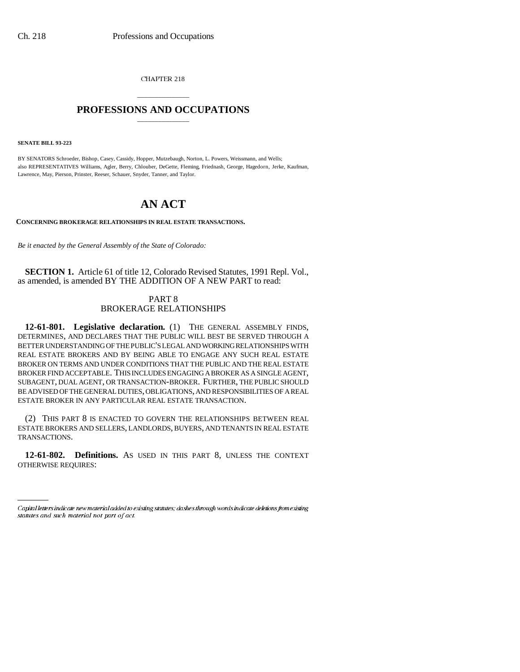CHAPTER 218

# \_\_\_\_\_\_\_\_\_\_\_\_\_\_\_ **PROFESSIONS AND OCCUPATIONS** \_\_\_\_\_\_\_\_\_\_\_\_\_\_\_

**SENATE BILL 93-223**

BY SENATORS Schroeder, Bishop, Casey, Cassidy, Hopper, Mutzebaugh, Norton, L. Powers, Weissmann, and Wells; also REPRESENTATIVES Williams, Agler, Berry, Chlouber, DeGette, Fleming, Friednash, George, Hagedorn, Jerke, Kaufman, Lawrence, May, Pierson, Prinster, Reeser, Schauer, Snyder, Tanner, and Taylor.

# **AN ACT**

**CONCERNING BROKERAGE RELATIONSHIPS IN REAL ESTATE TRANSACTIONS.**

*Be it enacted by the General Assembly of the State of Colorado:*

**SECTION 1.** Article 61 of title 12, Colorado Revised Statutes, 1991 Repl. Vol., as amended, is amended BY THE ADDITION OF A NEW PART to read:

## PART 8 BROKERAGE RELATIONSHIPS

**12-61-801. Legislative declaration.** (1) THE GENERAL ASSEMBLY FINDS, DETERMINES, AND DECLARES THAT THE PUBLIC WILL BEST BE SERVED THROUGH A BETTER UNDERSTANDING OF THE PUBLIC'S LEGAL AND WORKING RELATIONSHIPS WITH REAL ESTATE BROKERS AND BY BEING ABLE TO ENGAGE ANY SUCH REAL ESTATE BROKER ON TERMS AND UNDER CONDITIONS THAT THE PUBLIC AND THE REAL ESTATE BROKER FIND ACCEPTABLE. THIS INCLUDES ENGAGING A BROKER AS A SINGLE AGENT, SUBAGENT, DUAL AGENT, OR TRANSACTION-BROKER. FURTHER, THE PUBLIC SHOULD BE ADVISED OF THE GENERAL DUTIES, OBLIGATIONS, AND RESPONSIBILITIES OF A REAL ESTATE BROKER IN ANY PARTICULAR REAL ESTATE TRANSACTION.

(2) THIS PART 8 IS ENACTED TO GOVERN THE RELATIONSHIPS BETWEEN REAL ESTATE BROKERS AND SELLERS, LANDLORDS, BUYERS, AND TENANTS IN REAL ESTATE TRANSACTIONS.

**12-61-802. Definitions.** AS USED IN THIS PART 8, UNLESS THE CONTEXT OTHERWISE REQUIRES:

Capital letters indicate new material added to existing statutes; dashes through words indicate deletions from existing statutes and such material not part of act.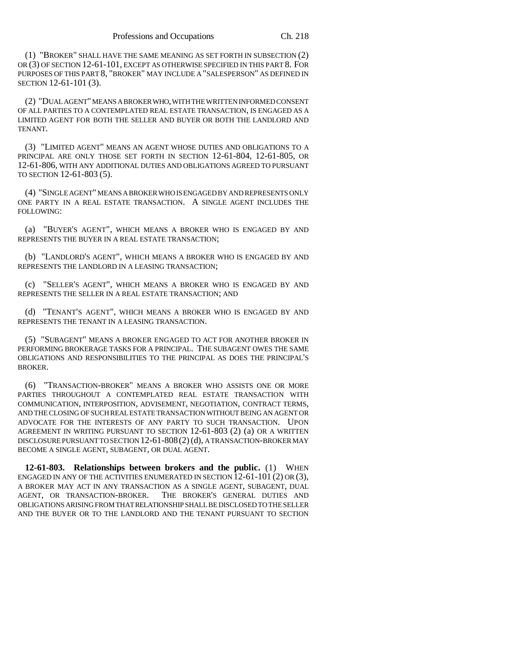(1) "BROKER" SHALL HAVE THE SAME MEANING AS SET FORTH IN SUBSECTION (2) OR (3) OF SECTION 12-61-101, EXCEPT AS OTHERWISE SPECIFIED IN THIS PART 8. FOR PURPOSES OF THIS PART 8, "BROKER" MAY INCLUDE A "SALESPERSON" AS DEFINED IN SECTION 12-61-101 (3).

(2) "DUAL AGENT" MEANS A BROKER WHO, WITH THE WRITTEN INFORMED CONSENT OF ALL PARTIES TO A CONTEMPLATED REAL ESTATE TRANSACTION, IS ENGAGED AS A LIMITED AGENT FOR BOTH THE SELLER AND BUYER OR BOTH THE LANDLORD AND TENANT.

(3) "LIMITED AGENT" MEANS AN AGENT WHOSE DUTIES AND OBLIGATIONS TO A PRINCIPAL ARE ONLY THOSE SET FORTH IN SECTION 12-61-804, 12-61-805, OR 12-61-806, WITH ANY ADDITIONAL DUTIES AND OBLIGATIONS AGREED TO PURSUANT TO SECTION 12-61-803 (5).

(4) "SINGLE AGENT" MEANS A BROKER WHO IS ENGAGED BY AND REPRESENTS ONLY ONE PARTY IN A REAL ESTATE TRANSACTION. A SINGLE AGENT INCLUDES THE FOLLOWING:

(a) "BUYER'S AGENT", WHICH MEANS A BROKER WHO IS ENGAGED BY AND REPRESENTS THE BUYER IN A REAL ESTATE TRANSACTION;

(b) "LANDLORD'S AGENT", WHICH MEANS A BROKER WHO IS ENGAGED BY AND REPRESENTS THE LANDLORD IN A LEASING TRANSACTION;

(c) "SELLER'S AGENT", WHICH MEANS A BROKER WHO IS ENGAGED BY AND REPRESENTS THE SELLER IN A REAL ESTATE TRANSACTION; AND

(d) "TENANT'S AGENT", WHICH MEANS A BROKER WHO IS ENGAGED BY AND REPRESENTS THE TENANT IN A LEASING TRANSACTION.

(5) "SUBAGENT" MEANS A BROKER ENGAGED TO ACT FOR ANOTHER BROKER IN PERFORMING BROKERAGE TASKS FOR A PRINCIPAL. THE SUBAGENT OWES THE SAME OBLIGATIONS AND RESPONSIBILITIES TO THE PRINCIPAL AS DOES THE PRINCIPAL'S BROKER.

(6) "TRANSACTION-BROKER" MEANS A BROKER WHO ASSISTS ONE OR MORE PARTIES THROUGHOUT A CONTEMPLATED REAL ESTATE TRANSACTION WITH COMMUNICATION, INTERPOSITION, ADVISEMENT, NEGOTIATION, CONTRACT TERMS, AND THE CLOSING OF SUCH REAL ESTATE TRANSACTION WITHOUT BEING AN AGENT OR ADVOCATE FOR THE INTERESTS OF ANY PARTY TO SUCH TRANSACTION. UPON AGREEMENT IN WRITING PURSUANT TO SECTION 12-61-803 (2) (a) OR A WRITTEN DISCLOSURE PURSUANT TO SECTION 12-61-808(2) (d), A TRANSACTION-BROKER MAY BECOME A SINGLE AGENT, SUBAGENT, OR DUAL AGENT.

**12-61-803. Relationships between brokers and the public.** (1) WHEN ENGAGED IN ANY OF THE ACTIVITIES ENUMERATED IN SECTION 12-61-101 (2) OR (3), A BROKER MAY ACT IN ANY TRANSACTION AS A SINGLE AGENT, SUBAGENT, DUAL AGENT, OR TRANSACTION-BROKER. THE BROKER'S GENERAL DUTIES AND OBLIGATIONS ARISING FROM THAT RELATIONSHIP SHALL BE DISCLOSED TO THE SELLER AND THE BUYER OR TO THE LANDLORD AND THE TENANT PURSUANT TO SECTION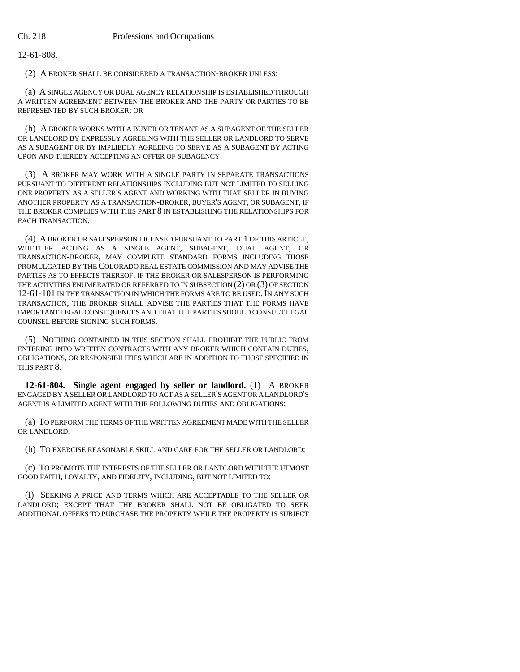12-61-808.

(2) A BROKER SHALL BE CONSIDERED A TRANSACTION-BROKER UNLESS:

(a) A SINGLE AGENCY OR DUAL AGENCY RELATIONSHIP IS ESTABLISHED THROUGH A WRITTEN AGREEMENT BETWEEN THE BROKER AND THE PARTY OR PARTIES TO BE REPRESENTED BY SUCH BROKER; OR

(b) A BROKER WORKS WITH A BUYER OR TENANT AS A SUBAGENT OF THE SELLER OR LANDLORD BY EXPRESSLY AGREEING WITH THE SELLER OR LANDLORD TO SERVE AS A SUBAGENT OR BY IMPLIEDLY AGREEING TO SERVE AS A SUBAGENT BY ACTING UPON AND THEREBY ACCEPTING AN OFFER OF SUBAGENCY.

(3) A BROKER MAY WORK WITH A SINGLE PARTY IN SEPARATE TRANSACTIONS PURSUANT TO DIFFERENT RELATIONSHIPS INCLUDING BUT NOT LIMITED TO SELLING ONE PROPERTY AS A SELLER'S AGENT AND WORKING WITH THAT SELLER IN BUYING ANOTHER PROPERTY AS A TRANSACTION-BROKER, BUYER'S AGENT, OR SUBAGENT, IF THE BROKER COMPLIES WITH THIS PART 8 IN ESTABLISHING THE RELATIONSHIPS FOR EACH TRANSACTION.

(4) A BROKER OR SALESPERSON LICENSED PURSUANT TO PART 1 OF THIS ARTICLE, WHETHER ACTING AS A SINGLE AGENT, SUBAGENT, DUAL AGENT, OR TRANSACTION-BROKER, MAY COMPLETE STANDARD FORMS INCLUDING THOSE PROMULGATED BY THE COLORADO REAL ESTATE COMMISSION AND MAY ADVISE THE PARTIES AS TO EFFECTS THEREOF, IF THE BROKER OR SALESPERSON IS PERFORMING THE ACTIVITIES ENUMERATED OR REFERRED TO IN SUBSECTION (2) OR (3) OF SECTION 12-61-101 IN THE TRANSACTION IN WHICH THE FORMS ARE TO BE USED. IN ANY SUCH TRANSACTION, THE BROKER SHALL ADVISE THE PARTIES THAT THE FORMS HAVE IMPORTANT LEGAL CONSEQUENCES AND THAT THE PARTIES SHOULD CONSULT LEGAL COUNSEL BEFORE SIGNING SUCH FORMS.

(5) NOTHING CONTAINED IN THIS SECTION SHALL PROHIBIT THE PUBLIC FROM ENTERING INTO WRITTEN CONTRACTS WITH ANY BROKER WHICH CONTAIN DUTIES, OBLIGATIONS, OR RESPONSIBILITIES WHICH ARE IN ADDITION TO THOSE SPECIFIED IN THIS PART 8.

**12-61-804. Single agent engaged by seller or landlord.** (1) A BROKER ENGAGED BY A SELLER OR LANDLORD TO ACT AS A SELLER'S AGENT OR A LANDLORD'S AGENT IS A LIMITED AGENT WITH THE FOLLOWING DUTIES AND OBLIGATIONS:

(a) TO PERFORM THE TERMS OF THE WRITTEN AGREEMENT MADE WITH THE SELLER OR LANDLORD;

(b) TO EXERCISE REASONABLE SKILL AND CARE FOR THE SELLER OR LANDLORD;

(c) TO PROMOTE THE INTERESTS OF THE SELLER OR LANDLORD WITH THE UTMOST GOOD FAITH, LOYALTY, AND FIDELITY, INCLUDING, BUT NOT LIMITED TO:

(I) SEEKING A PRICE AND TERMS WHICH ARE ACCEPTABLE TO THE SELLER OR LANDLORD; EXCEPT THAT THE BROKER SHALL NOT BE OBLIGATED TO SEEK ADDITIONAL OFFERS TO PURCHASE THE PROPERTY WHILE THE PROPERTY IS SUBJECT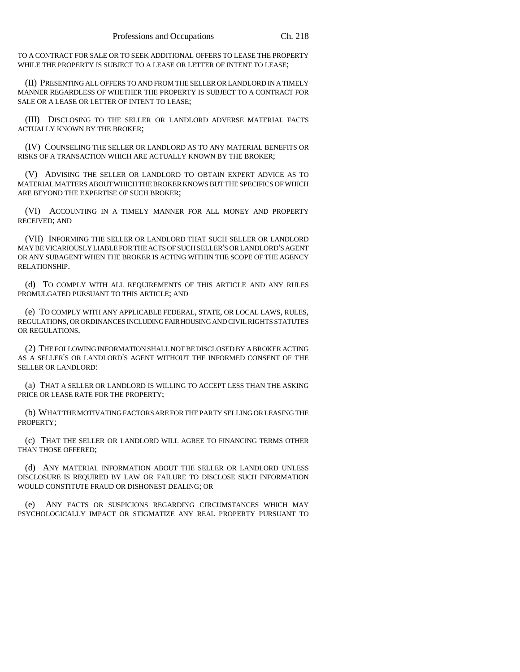TO A CONTRACT FOR SALE OR TO SEEK ADDITIONAL OFFERS TO LEASE THE PROPERTY WHILE THE PROPERTY IS SUBJECT TO A LEASE OR LETTER OF INTENT TO LEASE;

(II) PRESENTING ALL OFFERS TO AND FROM THE SELLER OR LANDLORD IN A TIMELY MANNER REGARDLESS OF WHETHER THE PROPERTY IS SUBJECT TO A CONTRACT FOR SALE OR A LEASE OR LETTER OF INTENT TO LEASE;

(III) DISCLOSING TO THE SELLER OR LANDLORD ADVERSE MATERIAL FACTS ACTUALLY KNOWN BY THE BROKER;

(IV) COUNSELING THE SELLER OR LANDLORD AS TO ANY MATERIAL BENEFITS OR RISKS OF A TRANSACTION WHICH ARE ACTUALLY KNOWN BY THE BROKER;

(V) ADVISING THE SELLER OR LANDLORD TO OBTAIN EXPERT ADVICE AS TO MATERIAL MATTERS ABOUT WHICH THE BROKER KNOWS BUT THE SPECIFICS OF WHICH ARE BEYOND THE EXPERTISE OF SUCH BROKER;

(VI) ACCOUNTING IN A TIMELY MANNER FOR ALL MONEY AND PROPERTY RECEIVED; AND

(VII) INFORMING THE SELLER OR LANDLORD THAT SUCH SELLER OR LANDLORD MAY BE VICARIOUSLY LIABLE FOR THE ACTS OF SUCH SELLER'S OR LANDLORD'S AGENT OR ANY SUBAGENT WHEN THE BROKER IS ACTING WITHIN THE SCOPE OF THE AGENCY RELATIONSHIP.

(d) TO COMPLY WITH ALL REQUIREMENTS OF THIS ARTICLE AND ANY RULES PROMULGATED PURSUANT TO THIS ARTICLE; AND

(e) TO COMPLY WITH ANY APPLICABLE FEDERAL, STATE, OR LOCAL LAWS, RULES, REGULATIONS, OR ORDINANCES INCLUDING FAIR HOUSING AND CIVIL RIGHTS STATUTES OR REGULATIONS.

(2) THE FOLLOWING INFORMATION SHALL NOT BE DISCLOSED BY A BROKER ACTING AS A SELLER'S OR LANDLORD'S AGENT WITHOUT THE INFORMED CONSENT OF THE SELLER OR LANDLORD:

(a) THAT A SELLER OR LANDLORD IS WILLING TO ACCEPT LESS THAN THE ASKING PRICE OR LEASE RATE FOR THE PROPERTY;

(b) WHAT THE MOTIVATING FACTORS ARE FOR THE PARTY SELLING OR LEASING THE PROPERTY;

(c) THAT THE SELLER OR LANDLORD WILL AGREE TO FINANCING TERMS OTHER THAN THOSE OFFERED;

(d) ANY MATERIAL INFORMATION ABOUT THE SELLER OR LANDLORD UNLESS DISCLOSURE IS REQUIRED BY LAW OR FAILURE TO DISCLOSE SUCH INFORMATION WOULD CONSTITUTE FRAUD OR DISHONEST DEALING; OR

(e) ANY FACTS OR SUSPICIONS REGARDING CIRCUMSTANCES WHICH MAY PSYCHOLOGICALLY IMPACT OR STIGMATIZE ANY REAL PROPERTY PURSUANT TO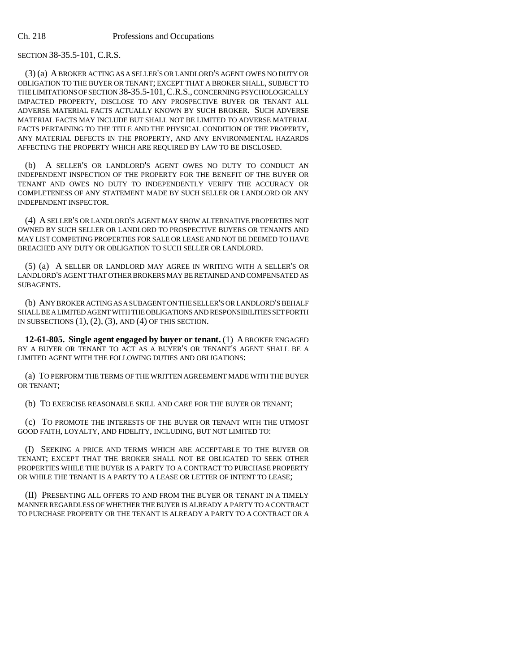SECTION 38-35.5-101, C.R.S.

(3) (a) A BROKER ACTING AS A SELLER'S OR LANDLORD'S AGENT OWES NO DUTY OR OBLIGATION TO THE BUYER OR TENANT; EXCEPT THAT A BROKER SHALL, SUBJECT TO THE LIMITATIONS OF SECTION 38-35.5-101,C.R.S., CONCERNING PSYCHOLOGICALLY IMPACTED PROPERTY, DISCLOSE TO ANY PROSPECTIVE BUYER OR TENANT ALL ADVERSE MATERIAL FACTS ACTUALLY KNOWN BY SUCH BROKER. SUCH ADVERSE MATERIAL FACTS MAY INCLUDE BUT SHALL NOT BE LIMITED TO ADVERSE MATERIAL FACTS PERTAINING TO THE TITLE AND THE PHYSICAL CONDITION OF THE PROPERTY, ANY MATERIAL DEFECTS IN THE PROPERTY, AND ANY ENVIRONMENTAL HAZARDS AFFECTING THE PROPERTY WHICH ARE REQUIRED BY LAW TO BE DISCLOSED.

(b) A SELLER'S OR LANDLORD'S AGENT OWES NO DUTY TO CONDUCT AN INDEPENDENT INSPECTION OF THE PROPERTY FOR THE BENEFIT OF THE BUYER OR TENANT AND OWES NO DUTY TO INDEPENDENTLY VERIFY THE ACCURACY OR COMPLETENESS OF ANY STATEMENT MADE BY SUCH SELLER OR LANDLORD OR ANY INDEPENDENT INSPECTOR.

(4) A SELLER'S OR LANDLORD'S AGENT MAY SHOW ALTERNATIVE PROPERTIES NOT OWNED BY SUCH SELLER OR LANDLORD TO PROSPECTIVE BUYERS OR TENANTS AND MAY LIST COMPETING PROPERTIES FOR SALE OR LEASE AND NOT BE DEEMED TO HAVE BREACHED ANY DUTY OR OBLIGATION TO SUCH SELLER OR LANDLORD.

(5) (a) A SELLER OR LANDLORD MAY AGREE IN WRITING WITH A SELLER'S OR LANDLORD'S AGENT THAT OTHER BROKERS MAY BE RETAINED AND COMPENSATED AS SUBAGENTS.

(b) ANY BROKER ACTING AS A SUBAGENT ON THE SELLER'S OR LANDLORD'S BEHALF SHALL BE A LIMITED AGENT WITH THE OBLIGATIONS AND RESPONSIBILITIES SET FORTH IN SUBSECTIONS  $(1)$ ,  $(2)$ ,  $(3)$ , AND  $(4)$  OF THIS SECTION.

**12-61-805. Single agent engaged by buyer or tenant.** (1) A BROKER ENGAGED BY A BUYER OR TENANT TO ACT AS A BUYER'S OR TENANT'S AGENT SHALL BE A LIMITED AGENT WITH THE FOLLOWING DUTIES AND OBLIGATIONS:

(a) TO PERFORM THE TERMS OF THE WRITTEN AGREEMENT MADE WITH THE BUYER OR TENANT;

(b) TO EXERCISE REASONABLE SKILL AND CARE FOR THE BUYER OR TENANT;

(c) TO PROMOTE THE INTERESTS OF THE BUYER OR TENANT WITH THE UTMOST GOOD FAITH, LOYALTY, AND FIDELITY, INCLUDING, BUT NOT LIMITED TO:

(I) SEEKING A PRICE AND TERMS WHICH ARE ACCEPTABLE TO THE BUYER OR TENANT; EXCEPT THAT THE BROKER SHALL NOT BE OBLIGATED TO SEEK OTHER PROPERTIES WHILE THE BUYER IS A PARTY TO A CONTRACT TO PURCHASE PROPERTY OR WHILE THE TENANT IS A PARTY TO A LEASE OR LETTER OF INTENT TO LEASE;

(II) PRESENTING ALL OFFERS TO AND FROM THE BUYER OR TENANT IN A TIMELY MANNER REGARDLESS OF WHETHER THE BUYER IS ALREADY A PARTY TO A CONTRACT TO PURCHASE PROPERTY OR THE TENANT IS ALREADY A PARTY TO A CONTRACT OR A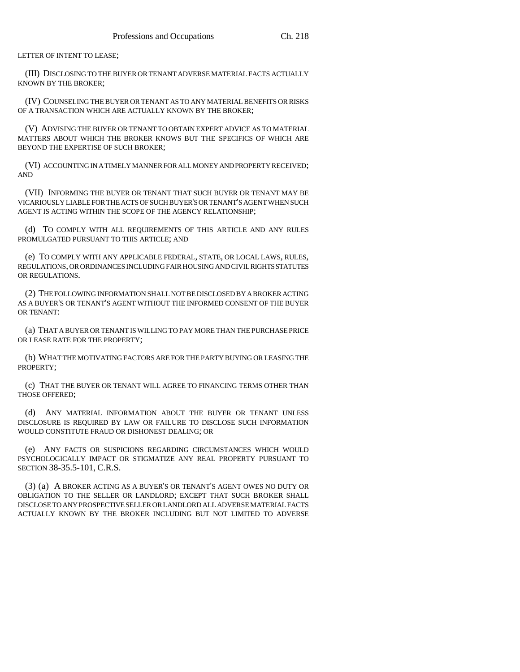LETTER OF INTENT TO LEASE;

(III) DISCLOSING TO THE BUYER OR TENANT ADVERSE MATERIAL FACTS ACTUALLY KNOWN BY THE BROKER;

(IV) COUNSELING THE BUYER OR TENANT AS TO ANY MATERIAL BENEFITS OR RISKS OF A TRANSACTION WHICH ARE ACTUALLY KNOWN BY THE BROKER;

(V) ADVISING THE BUYER OR TENANT TO OBTAIN EXPERT ADVICE AS TO MATERIAL MATTERS ABOUT WHICH THE BROKER KNOWS BUT THE SPECIFICS OF WHICH ARE BEYOND THE EXPERTISE OF SUCH BROKER;

(VI) ACCOUNTING IN A TIMELY MANNER FOR ALL MONEY AND PROPERTY RECEIVED; AND

(VII) INFORMING THE BUYER OR TENANT THAT SUCH BUYER OR TENANT MAY BE VICARIOUSLY LIABLE FOR THE ACTS OF SUCH BUYER'S OR TENANT'S AGENT WHEN SUCH AGENT IS ACTING WITHIN THE SCOPE OF THE AGENCY RELATIONSHIP;

(d) TO COMPLY WITH ALL REQUIREMENTS OF THIS ARTICLE AND ANY RULES PROMULGATED PURSUANT TO THIS ARTICLE; AND

(e) TO COMPLY WITH ANY APPLICABLE FEDERAL, STATE, OR LOCAL LAWS, RULES, REGULATIONS, OR ORDINANCES INCLUDING FAIR HOUSING AND CIVIL RIGHTS STATUTES OR REGULATIONS.

(2) THE FOLLOWING INFORMATION SHALL NOT BE DISCLOSED BY A BROKER ACTING AS A BUYER'S OR TENANT'S AGENT WITHOUT THE INFORMED CONSENT OF THE BUYER OR TENANT:

(a) THAT A BUYER OR TENANT IS WILLING TO PAY MORE THAN THE PURCHASE PRICE OR LEASE RATE FOR THE PROPERTY;

(b) WHAT THE MOTIVATING FACTORS ARE FOR THE PARTY BUYING OR LEASING THE PROPERTY;

(c) THAT THE BUYER OR TENANT WILL AGREE TO FINANCING TERMS OTHER THAN THOSE OFFERED;

(d) ANY MATERIAL INFORMATION ABOUT THE BUYER OR TENANT UNLESS DISCLOSURE IS REQUIRED BY LAW OR FAILURE TO DISCLOSE SUCH INFORMATION WOULD CONSTITUTE FRAUD OR DISHONEST DEALING; OR

(e) ANY FACTS OR SUSPICIONS REGARDING CIRCUMSTANCES WHICH WOULD PSYCHOLOGICALLY IMPACT OR STIGMATIZE ANY REAL PROPERTY PURSUANT TO SECTION 38-35.5-101, C.R.S.

(3) (a) A BROKER ACTING AS A BUYER'S OR TENANT'S AGENT OWES NO DUTY OR OBLIGATION TO THE SELLER OR LANDLORD; EXCEPT THAT SUCH BROKER SHALL DISCLOSE TO ANY PROSPECTIVE SELLER OR LANDLORD ALL ADVERSE MATERIAL FACTS ACTUALLY KNOWN BY THE BROKER INCLUDING BUT NOT LIMITED TO ADVERSE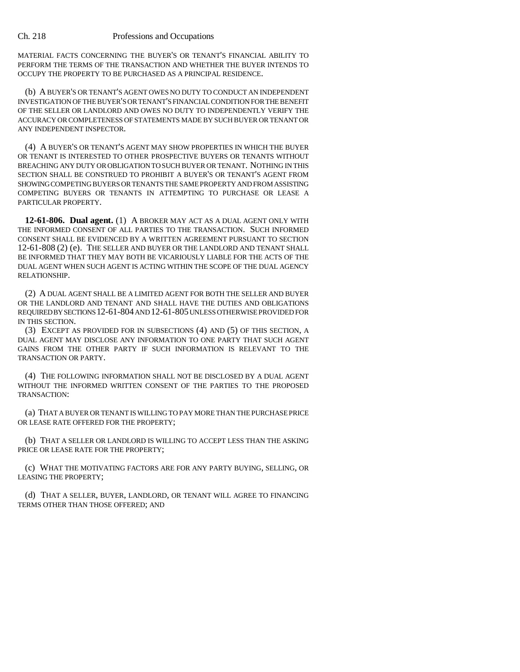### Ch. 218 Professions and Occupations

MATERIAL FACTS CONCERNING THE BUYER'S OR TENANT'S FINANCIAL ABILITY TO PERFORM THE TERMS OF THE TRANSACTION AND WHETHER THE BUYER INTENDS TO OCCUPY THE PROPERTY TO BE PURCHASED AS A PRINCIPAL RESIDENCE.

(b) A BUYER'S OR TENANT'S AGENT OWES NO DUTY TO CONDUCT AN INDEPENDENT INVESTIGATION OF THE BUYER'S OR TENANT'S FINANCIAL CONDITION FOR THE BENEFIT OF THE SELLER OR LANDLORD AND OWES NO DUTY TO INDEPENDENTLY VERIFY THE ACCURACY OR COMPLETENESS OF STATEMENTS MADE BY SUCH BUYER OR TENANT OR ANY INDEPENDENT INSPECTOR.

(4) A BUYER'S OR TENANT'S AGENT MAY SHOW PROPERTIES IN WHICH THE BUYER OR TENANT IS INTERESTED TO OTHER PROSPECTIVE BUYERS OR TENANTS WITHOUT BREACHING ANY DUTY OR OBLIGATION TO SUCH BUYER OR TENANT. NOTHING IN THIS SECTION SHALL BE CONSTRUED TO PROHIBIT A BUYER'S OR TENANT'S AGENT FROM SHOWING COMPETING BUYERS OR TENANTS THE SAME PROPERTY AND FROM ASSISTING COMPETING BUYERS OR TENANTS IN ATTEMPTING TO PURCHASE OR LEASE A PARTICULAR PROPERTY.

**12-61-806. Dual agent.** (1) A BROKER MAY ACT AS A DUAL AGENT ONLY WITH THE INFORMED CONSENT OF ALL PARTIES TO THE TRANSACTION. SUCH INFORMED CONSENT SHALL BE EVIDENCED BY A WRITTEN AGREEMENT PURSUANT TO SECTION 12-61-808 (2) (e). THE SELLER AND BUYER OR THE LANDLORD AND TENANT SHALL BE INFORMED THAT THEY MAY BOTH BE VICARIOUSLY LIABLE FOR THE ACTS OF THE DUAL AGENT WHEN SUCH AGENT IS ACTING WITHIN THE SCOPE OF THE DUAL AGENCY RELATIONSHIP.

(2) A DUAL AGENT SHALL BE A LIMITED AGENT FOR BOTH THE SELLER AND BUYER OR THE LANDLORD AND TENANT AND SHALL HAVE THE DUTIES AND OBLIGATIONS REQUIRED BY SECTIONS 12-61-804 AND 12-61-805 UNLESS OTHERWISE PROVIDED FOR IN THIS SECTION.

(3) EXCEPT AS PROVIDED FOR IN SUBSECTIONS (4) AND (5) OF THIS SECTION, A DUAL AGENT MAY DISCLOSE ANY INFORMATION TO ONE PARTY THAT SUCH AGENT GAINS FROM THE OTHER PARTY IF SUCH INFORMATION IS RELEVANT TO THE TRANSACTION OR PARTY.

(4) THE FOLLOWING INFORMATION SHALL NOT BE DISCLOSED BY A DUAL AGENT WITHOUT THE INFORMED WRITTEN CONSENT OF THE PARTIES TO THE PROPOSED TRANSACTION:

(a) THAT A BUYER OR TENANT IS WILLING TO PAY MORE THAN THE PURCHASE PRICE OR LEASE RATE OFFERED FOR THE PROPERTY;

(b) THAT A SELLER OR LANDLORD IS WILLING TO ACCEPT LESS THAN THE ASKING PRICE OR LEASE RATE FOR THE PROPERTY;

(c) WHAT THE MOTIVATING FACTORS ARE FOR ANY PARTY BUYING, SELLING, OR LEASING THE PROPERTY;

(d) THAT A SELLER, BUYER, LANDLORD, OR TENANT WILL AGREE TO FINANCING TERMS OTHER THAN THOSE OFFERED; AND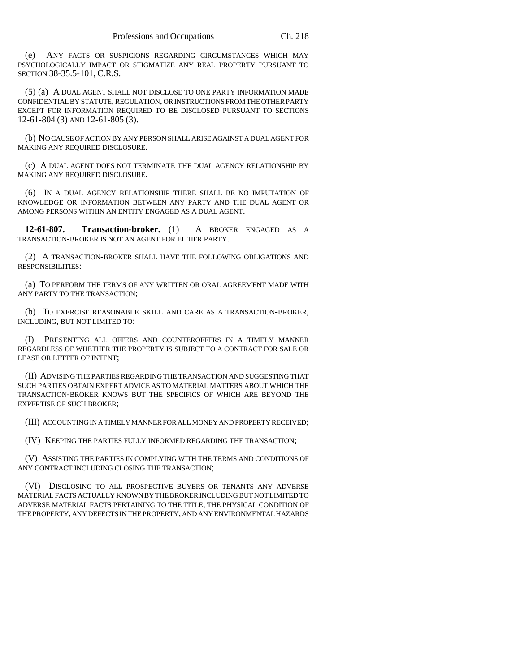(e) ANY FACTS OR SUSPICIONS REGARDING CIRCUMSTANCES WHICH MAY PSYCHOLOGICALLY IMPACT OR STIGMATIZE ANY REAL PROPERTY PURSUANT TO SECTION 38-35.5-101, C.R.S.

(5) (a) A DUAL AGENT SHALL NOT DISCLOSE TO ONE PARTY INFORMATION MADE CONFIDENTIAL BY STATUTE, REGULATION, OR INSTRUCTIONS FROM THE OTHER PARTY EXCEPT FOR INFORMATION REQUIRED TO BE DISCLOSED PURSUANT TO SECTIONS 12-61-804 (3) AND 12-61-805 (3).

(b) NO CAUSE OF ACTION BY ANY PERSON SHALL ARISE AGAINST A DUAL AGENT FOR MAKING ANY REQUIRED DISCLOSURE.

(c) A DUAL AGENT DOES NOT TERMINATE THE DUAL AGENCY RELATIONSHIP BY MAKING ANY REQUIRED DISCLOSURE.

(6) IN A DUAL AGENCY RELATIONSHIP THERE SHALL BE NO IMPUTATION OF KNOWLEDGE OR INFORMATION BETWEEN ANY PARTY AND THE DUAL AGENT OR AMONG PERSONS WITHIN AN ENTITY ENGAGED AS A DUAL AGENT.

**12-61-807. Transaction-broker.** (1) A BROKER ENGAGED AS A TRANSACTION-BROKER IS NOT AN AGENT FOR EITHER PARTY.

(2) A TRANSACTION-BROKER SHALL HAVE THE FOLLOWING OBLIGATIONS AND RESPONSIBILITIES:

(a) TO PERFORM THE TERMS OF ANY WRITTEN OR ORAL AGREEMENT MADE WITH ANY PARTY TO THE TRANSACTION;

(b) TO EXERCISE REASONABLE SKILL AND CARE AS A TRANSACTION-BROKER, INCLUDING, BUT NOT LIMITED TO:

(I) PRESENTING ALL OFFERS AND COUNTEROFFERS IN A TIMELY MANNER REGARDLESS OF WHETHER THE PROPERTY IS SUBJECT TO A CONTRACT FOR SALE OR LEASE OR LETTER OF INTENT;

(II) ADVISING THE PARTIES REGARDING THE TRANSACTION AND SUGGESTING THAT SUCH PARTIES OBTAIN EXPERT ADVICE AS TO MATERIAL MATTERS ABOUT WHICH THE TRANSACTION-BROKER KNOWS BUT THE SPECIFICS OF WHICH ARE BEYOND THE EXPERTISE OF SUCH BROKER;

(III) ACCOUNTING IN A TIMELY MANNER FOR ALL MONEY AND PROPERTY RECEIVED;

(IV) KEEPING THE PARTIES FULLY INFORMED REGARDING THE TRANSACTION;

(V) ASSISTING THE PARTIES IN COMPLYING WITH THE TERMS AND CONDITIONS OF ANY CONTRACT INCLUDING CLOSING THE TRANSACTION;

(VI) DISCLOSING TO ALL PROSPECTIVE BUYERS OR TENANTS ANY ADVERSE MATERIAL FACTS ACTUALLY KNOWN BY THE BROKER INCLUDING BUT NOT LIMITED TO ADVERSE MATERIAL FACTS PERTAINING TO THE TITLE, THE PHYSICAL CONDITION OF THE PROPERTY, ANY DEFECTS IN THE PROPERTY, AND ANY ENVIRONMENTAL HAZARDS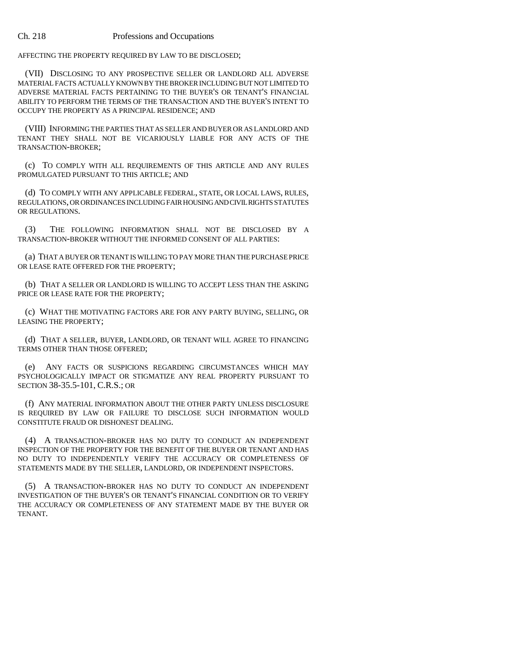AFFECTING THE PROPERTY REQUIRED BY LAW TO BE DISCLOSED;

(VII) DISCLOSING TO ANY PROSPECTIVE SELLER OR LANDLORD ALL ADVERSE MATERIAL FACTS ACTUALLY KNOWN BY THE BROKER INCLUDING BUT NOT LIMITED TO ADVERSE MATERIAL FACTS PERTAINING TO THE BUYER'S OR TENANT'S FINANCIAL ABILITY TO PERFORM THE TERMS OF THE TRANSACTION AND THE BUYER'S INTENT TO OCCUPY THE PROPERTY AS A PRINCIPAL RESIDENCE; AND

(VIII) INFORMING THE PARTIES THAT AS SELLER AND BUYER OR AS LANDLORD AND TENANT THEY SHALL NOT BE VICARIOUSLY LIABLE FOR ANY ACTS OF THE TRANSACTION-BROKER;

(c) TO COMPLY WITH ALL REQUIREMENTS OF THIS ARTICLE AND ANY RULES PROMULGATED PURSUANT TO THIS ARTICLE; AND

(d) TO COMPLY WITH ANY APPLICABLE FEDERAL, STATE, OR LOCAL LAWS, RULES, REGULATIONS, OR ORDINANCES INCLUDING FAIR HOUSING AND CIVIL RIGHTS STATUTES OR REGULATIONS.

(3) THE FOLLOWING INFORMATION SHALL NOT BE DISCLOSED BY A TRANSACTION-BROKER WITHOUT THE INFORMED CONSENT OF ALL PARTIES:

(a) THAT A BUYER OR TENANT IS WILLING TO PAY MORE THAN THE PURCHASE PRICE OR LEASE RATE OFFERED FOR THE PROPERTY;

(b) THAT A SELLER OR LANDLORD IS WILLING TO ACCEPT LESS THAN THE ASKING PRICE OR LEASE RATE FOR THE PROPERTY;

(c) WHAT THE MOTIVATING FACTORS ARE FOR ANY PARTY BUYING, SELLING, OR LEASING THE PROPERTY;

(d) THAT A SELLER, BUYER, LANDLORD, OR TENANT WILL AGREE TO FINANCING TERMS OTHER THAN THOSE OFFERED;

(e) ANY FACTS OR SUSPICIONS REGARDING CIRCUMSTANCES WHICH MAY PSYCHOLOGICALLY IMPACT OR STIGMATIZE ANY REAL PROPERTY PURSUANT TO SECTION 38-35.5-101, C.R.S.; OR

(f) ANY MATERIAL INFORMATION ABOUT THE OTHER PARTY UNLESS DISCLOSURE IS REQUIRED BY LAW OR FAILURE TO DISCLOSE SUCH INFORMATION WOULD CONSTITUTE FRAUD OR DISHONEST DEALING.

(4) A TRANSACTION-BROKER HAS NO DUTY TO CONDUCT AN INDEPENDENT INSPECTION OF THE PROPERTY FOR THE BENEFIT OF THE BUYER OR TENANT AND HAS NO DUTY TO INDEPENDENTLY VERIFY THE ACCURACY OR COMPLETENESS OF STATEMENTS MADE BY THE SELLER, LANDLORD, OR INDEPENDENT INSPECTORS.

(5) A TRANSACTION-BROKER HAS NO DUTY TO CONDUCT AN INDEPENDENT INVESTIGATION OF THE BUYER'S OR TENANT'S FINANCIAL CONDITION OR TO VERIFY THE ACCURACY OR COMPLETENESS OF ANY STATEMENT MADE BY THE BUYER OR TENANT.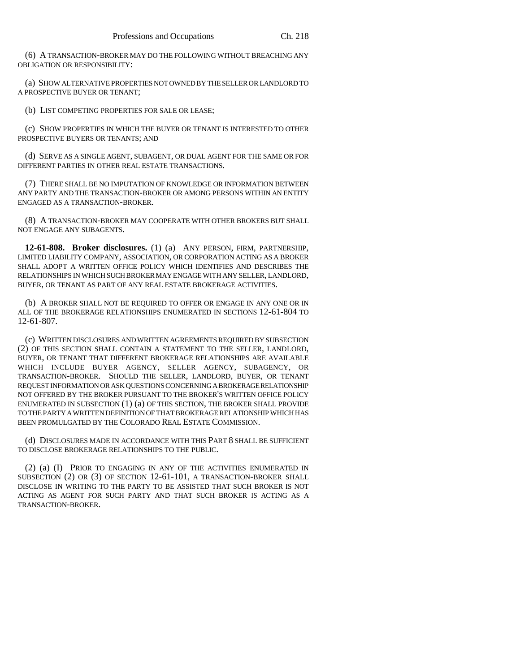(6) A TRANSACTION-BROKER MAY DO THE FOLLOWING WITHOUT BREACHING ANY OBLIGATION OR RESPONSIBILITY:

(a) SHOW ALTERNATIVE PROPERTIES NOT OWNED BY THE SELLER OR LANDLORD TO A PROSPECTIVE BUYER OR TENANT;

(b) LIST COMPETING PROPERTIES FOR SALE OR LEASE;

(c) SHOW PROPERTIES IN WHICH THE BUYER OR TENANT IS INTERESTED TO OTHER PROSPECTIVE BUYERS OR TENANTS; AND

(d) SERVE AS A SINGLE AGENT, SUBAGENT, OR DUAL AGENT FOR THE SAME OR FOR DIFFERENT PARTIES IN OTHER REAL ESTATE TRANSACTIONS.

(7) THERE SHALL BE NO IMPUTATION OF KNOWLEDGE OR INFORMATION BETWEEN ANY PARTY AND THE TRANSACTION-BROKER OR AMONG PERSONS WITHIN AN ENTITY ENGAGED AS A TRANSACTION-BROKER.

(8) A TRANSACTION-BROKER MAY COOPERATE WITH OTHER BROKERS BUT SHALL NOT ENGAGE ANY SUBAGENTS.

**12-61-808. Broker disclosures.** (1) (a) ANY PERSON, FIRM, PARTNERSHIP, LIMITED LIABILITY COMPANY, ASSOCIATION, OR CORPORATION ACTING AS A BROKER SHALL ADOPT A WRITTEN OFFICE POLICY WHICH IDENTIFIES AND DESCRIBES THE RELATIONSHIPS IN WHICH SUCH BROKER MAY ENGAGE WITH ANY SELLER, LANDLORD, BUYER, OR TENANT AS PART OF ANY REAL ESTATE BROKERAGE ACTIVITIES.

(b) A BROKER SHALL NOT BE REQUIRED TO OFFER OR ENGAGE IN ANY ONE OR IN ALL OF THE BROKERAGE RELATIONSHIPS ENUMERATED IN SECTIONS 12-61-804 TO 12-61-807.

(c) WRITTEN DISCLOSURES AND WRITTEN AGREEMENTS REQUIRED BY SUBSECTION (2) OF THIS SECTION SHALL CONTAIN A STATEMENT TO THE SELLER, LANDLORD, BUYER, OR TENANT THAT DIFFERENT BROKERAGE RELATIONSHIPS ARE AVAILABLE WHICH INCLUDE BUYER AGENCY, SELLER AGENCY, SUBAGENCY, OR TRANSACTION-BROKER. SHOULD THE SELLER, LANDLORD, BUYER, OR TENANT REQUEST INFORMATION OR ASK QUESTIONS CONCERNING A BROKERAGE RELATIONSHIP NOT OFFERED BY THE BROKER PURSUANT TO THE BROKER'S WRITTEN OFFICE POLICY ENUMERATED IN SUBSECTION  $(1)$   $(a)$  of this section, the broker shall provide TO THE PARTY A WRITTEN DEFINITION OF THAT BROKERAGE RELATIONSHIP WHICH HAS BEEN PROMULGATED BY THE COLORADO REAL ESTATE COMMISSION.

(d) DISCLOSURES MADE IN ACCORDANCE WITH THIS PART 8 SHALL BE SUFFICIENT TO DISCLOSE BROKERAGE RELATIONSHIPS TO THE PUBLIC.

(2) (a) (I) PRIOR TO ENGAGING IN ANY OF THE ACTIVITIES ENUMERATED IN SUBSECTION (2) OR (3) OF SECTION 12-61-101, A TRANSACTION-BROKER SHALL DISCLOSE IN WRITING TO THE PARTY TO BE ASSISTED THAT SUCH BROKER IS NOT ACTING AS AGENT FOR SUCH PARTY AND THAT SUCH BROKER IS ACTING AS A TRANSACTION-BROKER.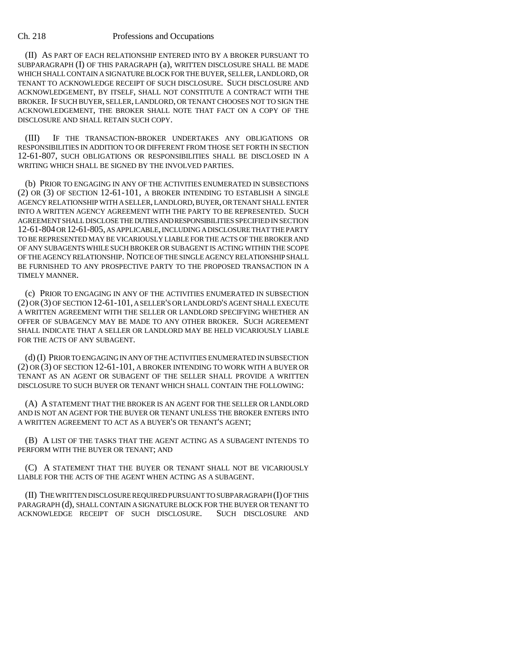#### Ch. 218 Professions and Occupations

(II) AS PART OF EACH RELATIONSHIP ENTERED INTO BY A BROKER PURSUANT TO SUBPARAGRAPH (I) OF THIS PARAGRAPH (a), WRITTEN DISCLOSURE SHALL BE MADE WHICH SHALL CONTAIN A SIGNATURE BLOCK FOR THE BUYER, SELLER, LANDLORD, OR TENANT TO ACKNOWLEDGE RECEIPT OF SUCH DISCLOSURE. SUCH DISCLOSURE AND ACKNOWLEDGEMENT, BY ITSELF, SHALL NOT CONSTITUTE A CONTRACT WITH THE BROKER. IF SUCH BUYER, SELLER, LANDLORD, OR TENANT CHOOSES NOT TO SIGN THE ACKNOWLEDGEMENT, THE BROKER SHALL NOTE THAT FACT ON A COPY OF THE DISCLOSURE AND SHALL RETAIN SUCH COPY.

(III) IF THE TRANSACTION-BROKER UNDERTAKES ANY OBLIGATIONS OR RESPONSIBILITIES IN ADDITION TO OR DIFFERENT FROM THOSE SET FORTH IN SECTION 12-61-807, SUCH OBLIGATIONS OR RESPONSIBILITIES SHALL BE DISCLOSED IN A WRITING WHICH SHALL BE SIGNED BY THE INVOLVED PARTIES.

(b) PRIOR TO ENGAGING IN ANY OF THE ACTIVITIES ENUMERATED IN SUBSECTIONS (2) OR (3) OF SECTION 12-61-101, A BROKER INTENDING TO ESTABLISH A SINGLE AGENCY RELATIONSHIP WITH A SELLER, LANDLORD, BUYER, OR TENANT SHALL ENTER INTO A WRITTEN AGENCY AGREEMENT WITH THE PARTY TO BE REPRESENTED. SUCH AGREEMENT SHALL DISCLOSE THE DUTIES AND RESPONSIBILITIES SPECIFIED IN SECTION 12-61-804 OR 12-61-805, AS APPLICABLE, INCLUDING A DISCLOSURE THAT THE PARTY TO BE REPRESENTED MAY BE VICARIOUSLY LIABLE FOR THE ACTS OF THE BROKER AND OF ANY SUBAGENTS WHILE SUCH BROKER OR SUBAGENT IS ACTING WITHIN THE SCOPE OF THE AGENCY RELATIONSHIP. NOTICE OF THE SINGLE AGENCY RELATIONSHIP SHALL BE FURNISHED TO ANY PROSPECTIVE PARTY TO THE PROPOSED TRANSACTION IN A TIMELY MANNER.

(c) PRIOR TO ENGAGING IN ANY OF THE ACTIVITIES ENUMERATED IN SUBSECTION (2) OR (3) OF SECTION 12-61-101, A SELLER'S OR LANDLORD'S AGENT SHALL EXECUTE A WRITTEN AGREEMENT WITH THE SELLER OR LANDLORD SPECIFYING WHETHER AN OFFER OF SUBAGENCY MAY BE MADE TO ANY OTHER BROKER. SUCH AGREEMENT SHALL INDICATE THAT A SELLER OR LANDLORD MAY BE HELD VICARIOUSLY LIABLE FOR THE ACTS OF ANY SUBAGENT.

(d) (I) PRIOR TO ENGAGING IN ANY OF THE ACTIVITIES ENUMERATED IN SUBSECTION (2) OR (3) OF SECTION 12-61-101, A BROKER INTENDING TO WORK WITH A BUYER OR TENANT AS AN AGENT OR SUBAGENT OF THE SELLER SHALL PROVIDE A WRITTEN DISCLOSURE TO SUCH BUYER OR TENANT WHICH SHALL CONTAIN THE FOLLOWING:

(A) A STATEMENT THAT THE BROKER IS AN AGENT FOR THE SELLER OR LANDLORD AND IS NOT AN AGENT FOR THE BUYER OR TENANT UNLESS THE BROKER ENTERS INTO A WRITTEN AGREEMENT TO ACT AS A BUYER'S OR TENANT'S AGENT;

(B) A LIST OF THE TASKS THAT THE AGENT ACTING AS A SUBAGENT INTENDS TO PERFORM WITH THE BUYER OR TENANT; AND

(C) A STATEMENT THAT THE BUYER OR TENANT SHALL NOT BE VICARIOUSLY LIABLE FOR THE ACTS OF THE AGENT WHEN ACTING AS A SUBAGENT.

(II) THE WRITTEN DISCLOSURE REQUIRED PURSUANT TO SUBPARAGRAPH (I) OF THIS PARAGRAPH (d), SHALL CONTAIN A SIGNATURE BLOCK FOR THE BUYER OR TENANT TO ACKNOWLEDGE RECEIPT OF SUCH DISCLOSURE. SUCH DISCLOSURE AND ACKNOWLEDGE RECEIPT OF SUCH DISCLOSURE.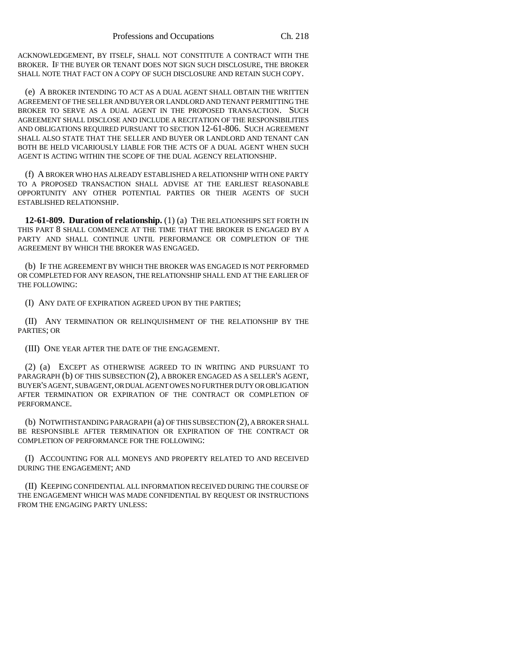ACKNOWLEDGEMENT, BY ITSELF, SHALL NOT CONSTITUTE A CONTRACT WITH THE BROKER. IF THE BUYER OR TENANT DOES NOT SIGN SUCH DISCLOSURE, THE BROKER SHALL NOTE THAT FACT ON A COPY OF SUCH DISCLOSURE AND RETAIN SUCH COPY.

(e) A BROKER INTENDING TO ACT AS A DUAL AGENT SHALL OBTAIN THE WRITTEN AGREEMENT OF THE SELLER AND BUYER OR LANDLORD AND TENANT PERMITTING THE BROKER TO SERVE AS A DUAL AGENT IN THE PROPOSED TRANSACTION. SUCH AGREEMENT SHALL DISCLOSE AND INCLUDE A RECITATION OF THE RESPONSIBILITIES AND OBLIGATIONS REQUIRED PURSUANT TO SECTION 12-61-806. SUCH AGREEMENT SHALL ALSO STATE THAT THE SELLER AND BUYER OR LANDLORD AND TENANT CAN BOTH BE HELD VICARIOUSLY LIABLE FOR THE ACTS OF A DUAL AGENT WHEN SUCH AGENT IS ACTING WITHIN THE SCOPE OF THE DUAL AGENCY RELATIONSHIP.

(f) A BROKER WHO HAS ALREADY ESTABLISHED A RELATIONSHIP WITH ONE PARTY TO A PROPOSED TRANSACTION SHALL ADVISE AT THE EARLIEST REASONABLE OPPORTUNITY ANY OTHER POTENTIAL PARTIES OR THEIR AGENTS OF SUCH ESTABLISHED RELATIONSHIP.

**12-61-809. Duration of relationship.** (1) (a) THE RELATIONSHIPS SET FORTH IN THIS PART 8 SHALL COMMENCE AT THE TIME THAT THE BROKER IS ENGAGED BY A PARTY AND SHALL CONTINUE UNTIL PERFORMANCE OR COMPLETION OF THE AGREEMENT BY WHICH THE BROKER WAS ENGAGED.

(b) IF THE AGREEMENT BY WHICH THE BROKER WAS ENGAGED IS NOT PERFORMED OR COMPLETED FOR ANY REASON, THE RELATIONSHIP SHALL END AT THE EARLIER OF THE FOLLOWING:

(I) ANY DATE OF EXPIRATION AGREED UPON BY THE PARTIES;

(II) ANY TERMINATION OR RELINQUISHMENT OF THE RELATIONSHIP BY THE PARTIES; OR

(III) ONE YEAR AFTER THE DATE OF THE ENGAGEMENT.

(2) (a) EXCEPT AS OTHERWISE AGREED TO IN WRITING AND PURSUANT TO PARAGRAPH (b) OF THIS SUBSECTION (2), A BROKER ENGAGED AS A SELLER'S AGENT, BUYER'S AGENT, SUBAGENT, OR DUAL AGENT OWES NO FURTHER DUTY OR OBLIGATION AFTER TERMINATION OR EXPIRATION OF THE CONTRACT OR COMPLETION OF PERFORMANCE.

(b) NOTWITHSTANDING PARAGRAPH (a) OF THIS SUBSECTION (2), A BROKER SHALL BE RESPONSIBLE AFTER TERMINATION OR EXPIRATION OF THE CONTRACT OR COMPLETION OF PERFORMANCE FOR THE FOLLOWING:

(I) ACCOUNTING FOR ALL MONEYS AND PROPERTY RELATED TO AND RECEIVED DURING THE ENGAGEMENT; AND

(II) KEEPING CONFIDENTIAL ALL INFORMATION RECEIVED DURING THE COURSE OF THE ENGAGEMENT WHICH WAS MADE CONFIDENTIAL BY REQUEST OR INSTRUCTIONS FROM THE ENGAGING PARTY UNLESS: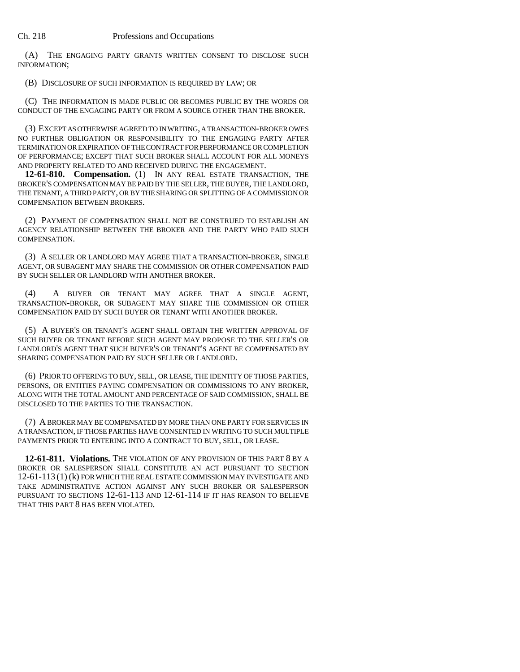(A) THE ENGAGING PARTY GRANTS WRITTEN CONSENT TO DISCLOSE SUCH INFORMATION;

(B) DISCLOSURE OF SUCH INFORMATION IS REQUIRED BY LAW; OR

(C) THE INFORMATION IS MADE PUBLIC OR BECOMES PUBLIC BY THE WORDS OR CONDUCT OF THE ENGAGING PARTY OR FROM A SOURCE OTHER THAN THE BROKER.

(3) EXCEPT AS OTHERWISE AGREED TO IN WRITING, A TRANSACTION-BROKER OWES NO FURTHER OBLIGATION OR RESPONSIBILITY TO THE ENGAGING PARTY AFTER TERMINATION OR EXPIRATION OF THE CONTRACT FOR PERFORMANCE OR COMPLETION OF PERFORMANCE; EXCEPT THAT SUCH BROKER SHALL ACCOUNT FOR ALL MONEYS AND PROPERTY RELATED TO AND RECEIVED DURING THE ENGAGEMENT.

**12-61-810. Compensation.** (1) IN ANY REAL ESTATE TRANSACTION, THE BROKER'S COMPENSATION MAY BE PAID BY THE SELLER, THE BUYER, THE LANDLORD, THE TENANT, A THIRD PARTY, OR BY THE SHARING OR SPLITTING OF A COMMISSION OR COMPENSATION BETWEEN BROKERS.

(2) PAYMENT OF COMPENSATION SHALL NOT BE CONSTRUED TO ESTABLISH AN AGENCY RELATIONSHIP BETWEEN THE BROKER AND THE PARTY WHO PAID SUCH COMPENSATION.

(3) A SELLER OR LANDLORD MAY AGREE THAT A TRANSACTION-BROKER, SINGLE AGENT, OR SUBAGENT MAY SHARE THE COMMISSION OR OTHER COMPENSATION PAID BY SUCH SELLER OR LANDLORD WITH ANOTHER BROKER.

(4) A BUYER OR TENANT MAY AGREE THAT A SINGLE AGENT, TRANSACTION-BROKER, OR SUBAGENT MAY SHARE THE COMMISSION OR OTHER COMPENSATION PAID BY SUCH BUYER OR TENANT WITH ANOTHER BROKER.

(5) A BUYER'S OR TENANT'S AGENT SHALL OBTAIN THE WRITTEN APPROVAL OF SUCH BUYER OR TENANT BEFORE SUCH AGENT MAY PROPOSE TO THE SELLER'S OR LANDLORD'S AGENT THAT SUCH BUYER'S OR TENANT'S AGENT BE COMPENSATED BY SHARING COMPENSATION PAID BY SUCH SELLER OR LANDLORD.

(6) PRIOR TO OFFERING TO BUY, SELL, OR LEASE, THE IDENTITY OF THOSE PARTIES, PERSONS, OR ENTITIES PAYING COMPENSATION OR COMMISSIONS TO ANY BROKER, ALONG WITH THE TOTAL AMOUNT AND PERCENTAGE OF SAID COMMISSION, SHALL BE DISCLOSED TO THE PARTIES TO THE TRANSACTION.

(7) A BROKER MAY BE COMPENSATED BY MORE THAN ONE PARTY FOR SERVICES IN A TRANSACTION, IF THOSE PARTIES HAVE CONSENTED IN WRITING TO SUCH MULTIPLE PAYMENTS PRIOR TO ENTERING INTO A CONTRACT TO BUY, SELL, OR LEASE.

**12-61-811. Violations.** THE VIOLATION OF ANY PROVISION OF THIS PART 8 BY A BROKER OR SALESPERSON SHALL CONSTITUTE AN ACT PURSUANT TO SECTION 12-61-113 (1) (k) FOR WHICH THE REAL ESTATE COMMISSION MAY INVESTIGATE AND TAKE ADMINISTRATIVE ACTION AGAINST ANY SUCH BROKER OR SALESPERSON PURSUANT TO SECTIONS 12-61-113 AND 12-61-114 IF IT HAS REASON TO BELIEVE THAT THIS PART 8 HAS BEEN VIOLATED.